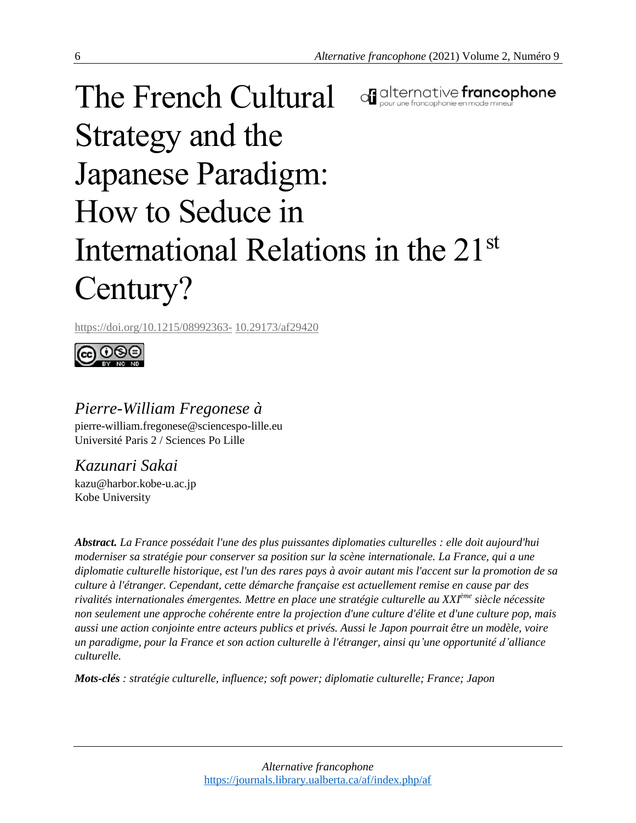# The French Cultural of alternative francophone Strategy and the Japanese Paradigm: How to Seduce in International Relations in the 21st Century?

https://doi.org/10.1215/08992363- 10.29173/af29420



# *Pierre-William Fregonese à*

pierre-william.fregonese@sciencespo-lille.eu Université Paris 2 / Sciences Po Lille

*Kazunari Sakai* kazu@harbor.kobe-u.ac.jp Kobe University

*Abstract. La France possédait l'une des plus puissantes diplomaties culturelles : elle doit aujourd'hui moderniser sa stratégie pour conserver sa position sur la scène internationale. La France, qui a une* diplomatie culturelle historique, est l'un des rares pays à avoir autant mis l'accent sur la promotion de sa *culture à l'étranger. Cependant, cette démarche française est actuellement remise en cause par des rivalités internationales émergentes. Mettre en place une stratégie culturelle au XXIème siècle nécessite non seulement une approche cohérente entre la projection d'une culture d'élite et d'une culture pop, mais aussi une action conjointe entre acteurs publics et privés. Aussi le Japon pourrait être un modèle, voire un paradigme, pour la France et son action culturelle à l'étranger, ainsi qu'une opportunité d'alliance culturelle.*

*Mots-clés : stratégie culturelle, influence; soft power; diplomatie culturelle; France; Japon*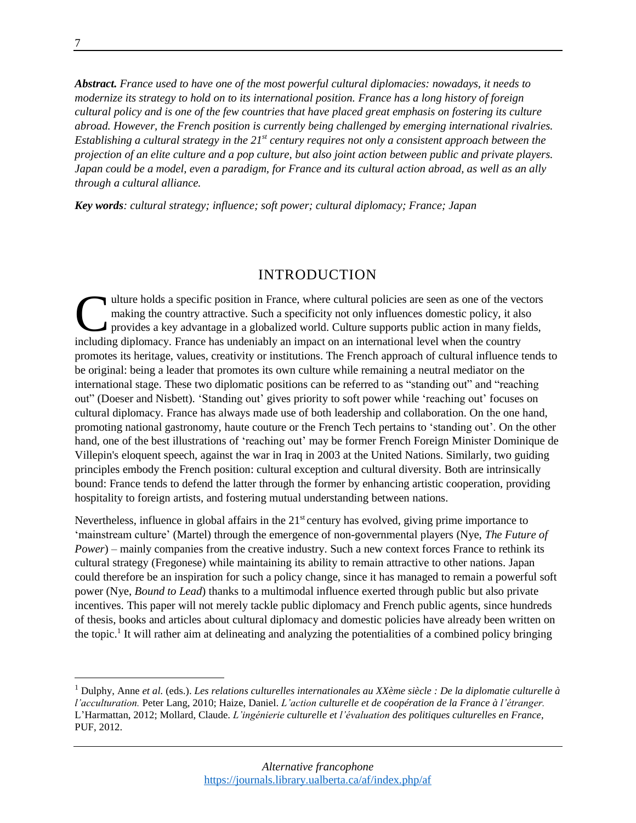*Abstract. France used to have one of the most powerful cultural diplomacies: nowadays, it needs to modernize its strategy to hold on to its international position. France has a long history of foreign* cultural policy and is one of the few countries that have placed great emphasis on fostering its culture *abroad. However, the French position is currently being challenged by emerging international rivalries. Establishing a cultural strategy in the 21st century requires not only a consistent approach between the* projection of an elite culture and a pop culture, but also joint action between public and private players. Japan could be a model, even a paradigm, for France and its cultural action abroad, as well as an ally *through a cultural alliance.*

*Key words: cultural strategy; influence; soft power; cultural diplomacy; France; Japan*

#### INTRODUCTION

ulture holds a specific position in France, where cultural policies are seen as one of the vectors making the country attractive. Such a specificity not only influences domestic policy, it also provides a key advantage in a globalized world. Culture supports public action in many fields, including diplomacy. France has undeniably an impact on an international level when the country promotes its heritage, values, creativity or institutions. The French approach of cultural influence tends to be original: being a leader that promotes its own culture while remaining a neutral mediator on the international stage. These two diplomatic positions can be referred to as "standing out" and "reaching out" (Doeser and Nisbett). 'Standing out' gives priority to soft power while 'reaching out' focuses on cultural diplomacy. France has always made use of both leadership and collaboration. On the one hand, promoting national gastronomy, haute couture or the French Tech pertains to 'standing out'. On the other hand, one of the best illustrations of 'reaching out' may be former French Foreign Minister Dominique de Villepin's eloquent speech, against the war in Iraq in 2003 at the United Nations. Similarly, two guiding principles embody the French position: cultural exception and cultural diversity. Both are intrinsically bound: France tends to defend the latter through the former by enhancing artistic cooperation, providing hospitality to foreign artists, and fostering mutual understanding between nations. C<br>includin

Nevertheless, influence in global affairs in the  $21<sup>st</sup>$  century has evolved, giving prime importance to 'mainstream culture' (Martel) through the emergence of non-governmental players (Nye, *The Future of Power*) – mainly companies from the creative industry. Such a new context forces France to rethink its cultural strategy (Fregonese) while maintaining its ability to remain attractive to other nations. Japan could therefore be an inspiration for such a policy change, since it has managed to remain a powerful soft power (Nye, *Bound to Lead*) thanks to a multimodal influence exerted through public but also private incentives. This paper will not merely tackle public diplomacy and French public agents, since hundreds of thesis, books and articles about cultural diplomacy and domestic policies have already been written on the topic.<sup>1</sup> It will rather aim at delineating and analyzing the potentialities of a combined policy bringing

 $\overline{a}$ 

<sup>1</sup> Dulphy, Anne *et al.* (eds.). *Les relations culturelles internationales au XXème siècle : De la diplomatie culturelle à l'acculturation.* Peter Lang, 2010; Haize, Daniel. *L'action culturelle et de coopération de la France à l'étranger.* L'Harmattan, 2012; Mollard, Claude. *L'ingénierie culturelle et l'évaluation des politiques culturelles en France*, PUF, 2012.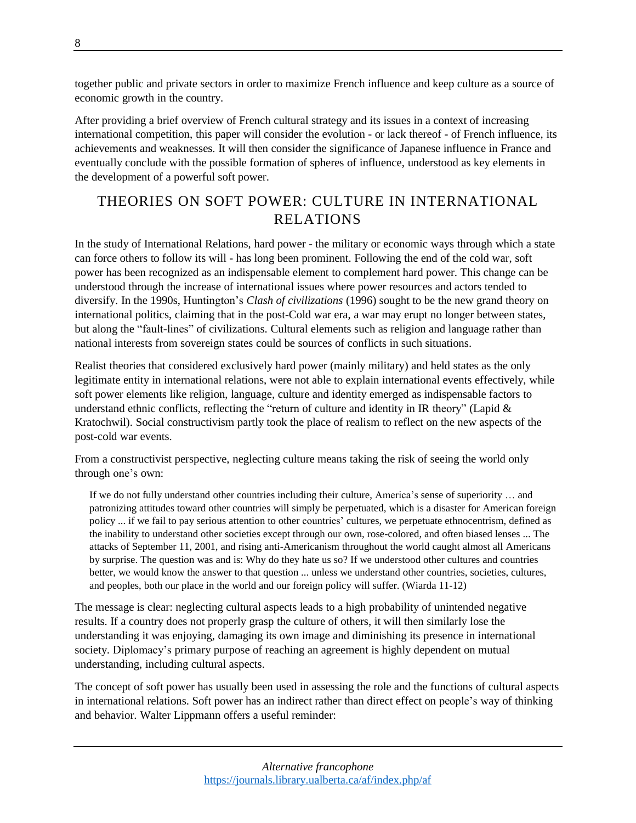together public and private sectors in order to maximize French influence and keep culture as a source of economic growth in the country.

After providing a brief overview of French cultural strategy and its issues in a context of increasing international competition, this paper will consider the evolution - or lack thereof - of French influence, its achievements and weaknesses. It will then consider the significance of Japanese influence in France and eventually conclude with the possible formation of spheres of influence, understood as key elements in the development of a powerful soft power.

# THEORIES ON SOFT POWER: CULTURE IN INTERNATIONAL RELATIONS

In the study of International Relations, hard power - the military or economic ways through which a state can force others to follow its will - has long been prominent. Following the end of the cold war, soft power has been recognized as an indispensable element to complement hard power. This change can be understood through the increase of international issues where power resources and actors tended to diversify. In the 1990s, Huntington's *Clash of civilizations* (1996) sought to be the new grand theory on international politics, claiming that in the post-Cold war era, a war may erupt no longer between states, but along the "fault-lines" of civilizations. Cultural elements such as religion and language rather than national interests from sovereign states could be sources of conflicts in such situations.

Realist theories that considered exclusively hard power (mainly military) and held states as the only legitimate entity in international relations, were not able to explain international events effectively, while soft power elements like religion, language, culture and identity emerged as indispensable factors to understand ethnic conflicts, reflecting the "return of culture and identity in IR theory" (Lapid  $\&$ Kratochwil). Social constructivism partly took the place of realism to reflect on the new aspects of the post-cold war events.

From a constructivist perspective, neglecting culture means taking the risk of seeing the world only through one's own:

If we do not fully understand other countries including their culture, America's sense of superiority … and patronizing attitudes toward other countries will simply be perpetuated, which is a disaster for American foreign policy ... if we fail to pay serious attention to other countries' cultures, we perpetuate ethnocentrism, defined as the inability to understand other societies except through our own, rose-colored, and often biased lenses ... The attacks of September 11, 2001, and rising anti-Americanism throughout the world caught almost all Americans by surprise. The question was and is: Why do they hate us so? If we understood other cultures and countries better, we would know the answer to that question ... unless we understand other countries, societies, cultures, and peoples, both our place in the world and our foreign policy will suffer. (Wiarda 11-12)

The message is clear: neglecting cultural aspects leads to a high probability of unintended negative results. If a country does not properly grasp the culture of others, it will then similarly lose the understanding it was enjoying, damaging its own image and diminishing its presence in international society. Diplomacy's primary purpose of reaching an agreement is highly dependent on mutual understanding, including cultural aspects.

The concept of soft power has usually been used in assessing the role and the functions of cultural aspects in international relations. Soft power has an indirect rather than direct effect on people's way of thinking and behavior. Walter Lippmann offers a useful reminder: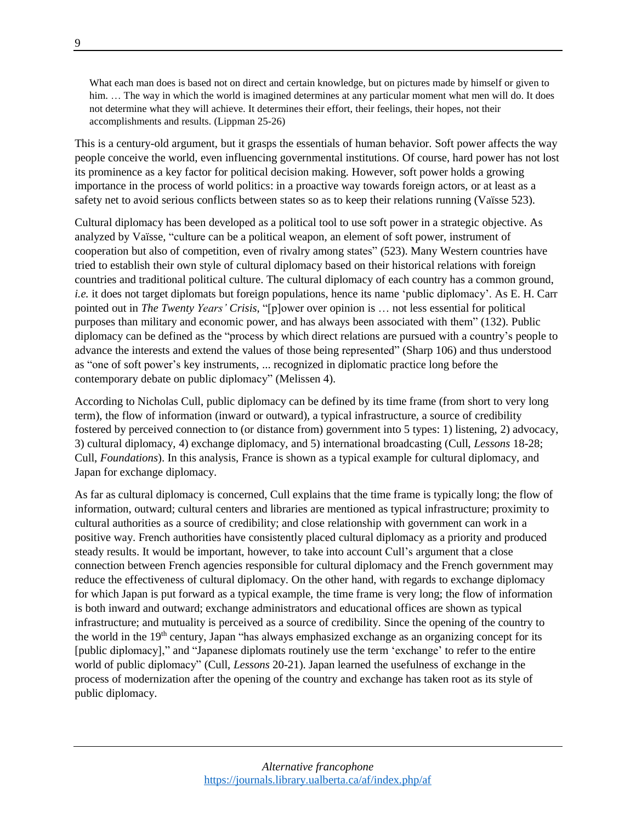What each man does is based not on direct and certain knowledge, but on pictures made by himself or given to him. ... The way in which the world is imagined determines at any particular moment what men will do. It does not determine what they will achieve. It determines their effort, their feelings, their hopes, not their accomplishments and results. (Lippman 25-26)

This is a century-old argument, but it grasps the essentials of human behavior. Soft power affects the way people conceive the world, even influencing governmental institutions. Of course, hard power has not lost its prominence as a key factor for political decision making. However, soft power holds a growing importance in the process of world politics: in a proactive way towards foreign actors, or at least as a safety net to avoid serious conflicts between states so as to keep their relations running (Vaïsse 523).

Cultural diplomacy has been developed as a political tool to use soft power in a strategic objective. As analyzed by Vaïsse, "culture can be a political weapon, an element of soft power, instrument of cooperation but also of competition, even of rivalry among states" (523). Many Western countries have tried to establish their own style of cultural diplomacy based on their historical relations with foreign countries and traditional political culture. The cultural diplomacy of each country has a common ground, *i.e.* it does not target diplomats but foreign populations, hence its name 'public diplomacy'. As E. H. Carr pointed out in *The Twenty Years' Crisis*, "[p]ower over opinion is … not less essential for political purposes than military and economic power, and has always been associated with them" (132). Public diplomacy can be defined as the "process by which direct relations are pursued with a country's people to advance the interests and extend the values of those being represented" (Sharp 106) and thus understood as "one of soft power's key instruments, ... recognized in diplomatic practice long before the contemporary debate on public diplomacy" (Melissen 4).

According to Nicholas Cull, public diplomacy can be defined by its time frame (from short to very long term), the flow of information (inward or outward), a typical infrastructure, a source of credibility fostered by perceived connection to (or distance from) government into 5 types: 1) listening, 2) advocacy, 3) cultural diplomacy, 4) exchange diplomacy, and 5) international broadcasting (Cull, *Lessons* 18-28; Cull, *Foundations*). In this analysis, France is shown as a typical example for cultural diplomacy, and Japan for exchange diplomacy.

As far as cultural diplomacy is concerned, Cull explains that the time frame is typically long; the flow of information, outward; cultural centers and libraries are mentioned as typical infrastructure; proximity to cultural authorities as a source of credibility; and close relationship with government can work in a positive way. French authorities have consistently placed cultural diplomacy as a priority and produced steady results. It would be important, however, to take into account Cull's argument that a close connection between French agencies responsible for cultural diplomacy and the French government may reduce the effectiveness of cultural diplomacy. On the other hand, with regards to exchange diplomacy for which Japan is put forward as a typical example, the time frame is very long; the flow of information is both inward and outward; exchange administrators and educational offices are shown as typical infrastructure; and mutuality is perceived as a source of credibility. Since the opening of the country to the world in the 19<sup>th</sup> century, Japan "has always emphasized exchange as an organizing concept for its [public diplomacy]," and "Japanese diplomats routinely use the term 'exchange' to refer to the entire world of public diplomacy" (Cull, *Lessons* 20-21). Japan learned the usefulness of exchange in the process of modernization after the opening of the country and exchange has taken root as its style of public diplomacy.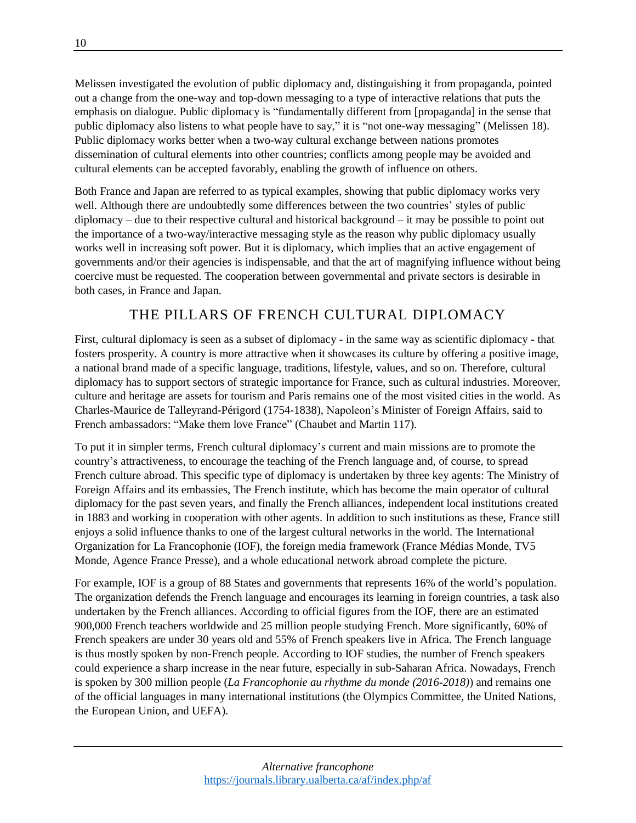Melissen investigated the evolution of public diplomacy and, distinguishing it from propaganda, pointed out a change from the one-way and top-down messaging to a type of interactive relations that puts the emphasis on dialogue. Public diplomacy is "fundamentally different from [propaganda] in the sense that public diplomacy also listens to what people have to say," it is "not one-way messaging" (Melissen 18). Public diplomacy works better when a two-way cultural exchange between nations promotes dissemination of cultural elements into other countries; conflicts among people may be avoided and cultural elements can be accepted favorably, enabling the growth of influence on others.

Both France and Japan are referred to as typical examples, showing that public diplomacy works very well. Although there are undoubtedly some differences between the two countries' styles of public diplomacy – due to their respective cultural and historical background – it may be possible to point out the importance of a two-way/interactive messaging style as the reason why public diplomacy usually works well in increasing soft power. But it is diplomacy, which implies that an active engagement of governments and/or their agencies is indispensable, and that the art of magnifying influence without being coercive must be requested. The cooperation between governmental and private sectors is desirable in both cases, in France and Japan.

## THE PILLARS OF FRENCH CULTURAL DIPLOMACY

First, cultural diplomacy is seen as a subset of diplomacy - in the same way as scientific diplomacy - that fosters prosperity. A country is more attractive when it showcases its culture by offering a positive image, a national brand made of a specific language, traditions, lifestyle, values, and so on. Therefore, cultural diplomacy has to support sectors of strategic importance for France, such as cultural industries. Moreover, culture and heritage are assets for tourism and Paris remains one of the most visited cities in the world. As Charles-Maurice de Talleyrand-Périgord (1754-1838), Napoleon's Minister of Foreign Affairs, said to French ambassadors: "Make them love France" (Chaubet and Martin 117).

To put it in simpler terms, French cultural diplomacy's current and main missions are to promote the country's attractiveness, to encourage the teaching of the French language and, of course, to spread French culture abroad. This specific type of diplomacy is undertaken by three key agents: The Ministry of Foreign Affairs and its embassies, The French institute, which has become the main operator of cultural diplomacy for the past seven years, and finally the French alliances, independent local institutions created in 1883 and working in cooperation with other agents. In addition to such institutions as these, France still enjoys a solid influence thanks to one of the largest cultural networks in the world. The International Organization for La Francophonie (IOF), the foreign media framework (France Médias Monde, TV5 Monde, Agence France Presse), and a whole educational network abroad complete the picture.

For example, IOF is a group of 88 States and governments that represents 16% of the world's population. The organization defends the French language and encourages its learning in foreign countries, a task also undertaken by the French alliances. According to official figures from the IOF, there are an estimated 900,000 French teachers worldwide and 25 million people studying French. More significantly, 60% of French speakers are under 30 years old and 55% of French speakers live in Africa. The French language is thus mostly spoken by non-French people. According to IOF studies, the number of French speakers could experience a sharp increase in the near future, especially in sub-Saharan Africa. Nowadays, French is spoken by 300 million people (*La Francophonie au rhythme du monde (2016-2018)*) and remains one of the official languages in many international institutions (the Olympics Committee, the United Nations, the European Union, and UEFA).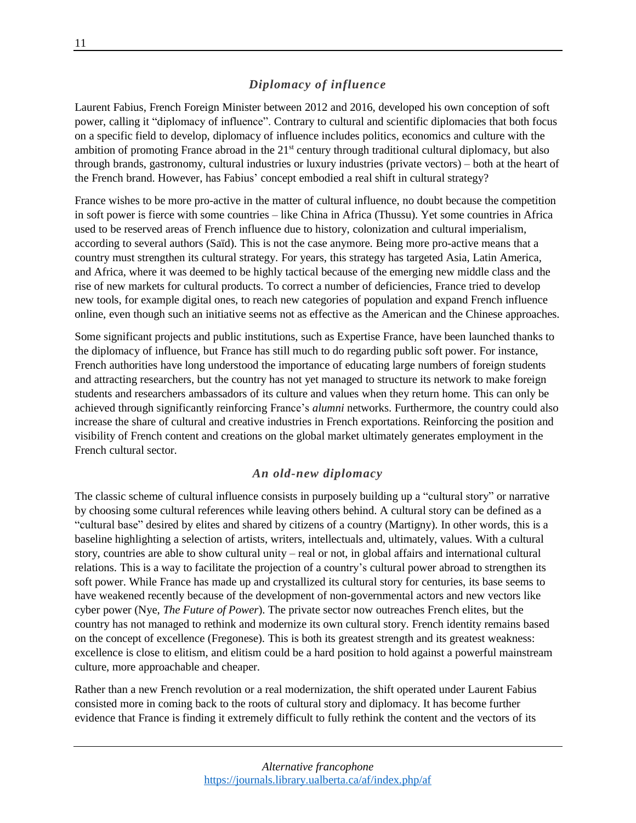#### *Diplomacy of influence*

Laurent Fabius, French Foreign Minister between 2012 and 2016, developed his own conception of soft power, calling it "diplomacy of influence". Contrary to cultural and scientific diplomacies that both focus on a specific field to develop, diplomacy of influence includes politics, economics and culture with the ambition of promoting France abroad in the 21<sup>st</sup> century through traditional cultural diplomacy, but also through brands, gastronomy, cultural industries or luxury industries (private vectors) – both at the heart of the French brand. However, has Fabius' concept embodied a real shift in cultural strategy?

France wishes to be more pro-active in the matter of cultural influence, no doubt because the competition in soft power is fierce with some countries – like China in Africa (Thussu). Yet some countries in Africa used to be reserved areas of French influence due to history, colonization and cultural imperialism, according to several authors (Saïd). This is not the case anymore. Being more pro-active means that a country must strengthen its cultural strategy. For years, this strategy has targeted Asia, Latin America, and Africa, where it was deemed to be highly tactical because of the emerging new middle class and the rise of new markets for cultural products. To correct a number of deficiencies, France tried to develop new tools, for example digital ones, to reach new categories of population and expand French influence online, even though such an initiative seems not as effective as the American and the Chinese approaches.

Some significant projects and public institutions, such as Expertise France, have been launched thanks to the diplomacy of influence, but France has still much to do regarding public soft power. For instance, French authorities have long understood the importance of educating large numbers of foreign students and attracting researchers, but the country has not yet managed to structure its network to make foreign students and researchers ambassadors of its culture and values when they return home. This can only be achieved through significantly reinforcing France's *alumni* networks. Furthermore, the country could also increase the share of cultural and creative industries in French exportations. Reinforcing the position and visibility of French content and creations on the global market ultimately generates employment in the French cultural sector.

#### *An old-new diplomacy*

The classic scheme of cultural influence consists in purposely building up a "cultural story" or narrative by choosing some cultural references while leaving others behind. A cultural story can be defined as a "cultural base" desired by elites and shared by citizens of a country (Martigny). In other words, this is a baseline highlighting a selection of artists, writers, intellectuals and, ultimately, values. With a cultural story, countries are able to show cultural unity – real or not, in global affairs and international cultural relations. This is a way to facilitate the projection of a country's cultural power abroad to strengthen its soft power. While France has made up and crystallized its cultural story for centuries, its base seems to have weakened recently because of the development of non-governmental actors and new vectors like cyber power (Nye, *The Future of Power*). The private sector now outreaches French elites, but the country has not managed to rethink and modernize its own cultural story. French identity remains based on the concept of excellence (Fregonese). This is both its greatest strength and its greatest weakness: excellence is close to elitism, and elitism could be a hard position to hold against a powerful mainstream culture, more approachable and cheaper.

Rather than a new French revolution or a real modernization, the shift operated under Laurent Fabius consisted more in coming back to the roots of cultural story and diplomacy. It has become further evidence that France is finding it extremely difficult to fully rethink the content and the vectors of its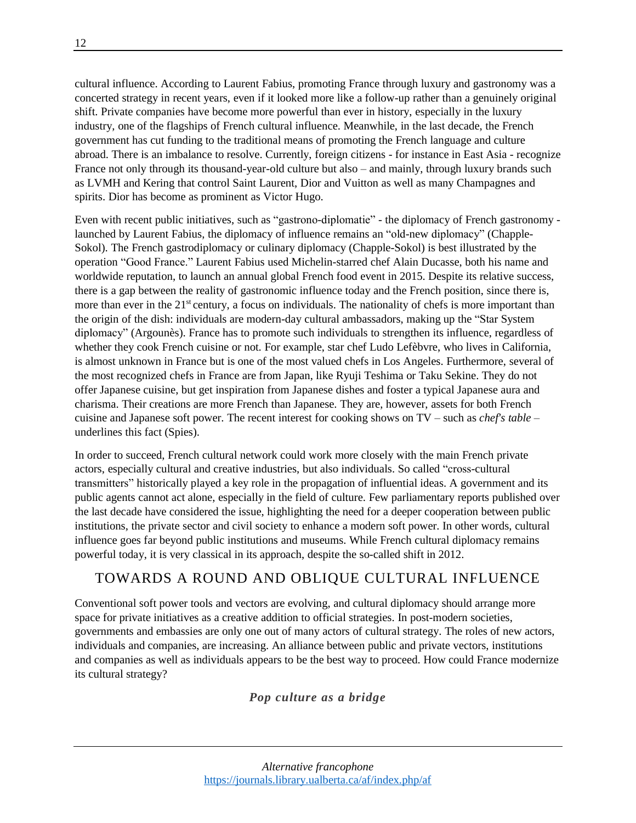cultural influence. According to Laurent Fabius, promoting France through luxury and gastronomy was a concerted strategy in recent years, even if it looked more like a follow-up rather than a genuinely original shift. Private companies have become more powerful than ever in history, especially in the luxury industry, one of the flagships of French cultural influence. Meanwhile, in the last decade, the French government has cut funding to the traditional means of promoting the French language and culture abroad. There is an imbalance to resolve. Currently, foreign citizens - for instance in East Asia - recognize France not only through its thousand-year-old culture but also – and mainly, through luxury brands such as LVMH and Kering that control Saint Laurent, Dior and Vuitton as well as many Champagnes and spirits. Dior has become as prominent as Victor Hugo.

Even with recent public initiatives, such as "gastrono-diplomatie" - the diplomacy of French gastronomy launched by Laurent Fabius, the diplomacy of influence remains an "old-new diplomacy" (Chapple-Sokol). The French gastrodiplomacy or culinary diplomacy (Chapple-Sokol) is best illustrated by the operation "Good France." Laurent Fabius used Michelin-starred chef Alain Ducasse, both his name and worldwide reputation, to launch an annual global French food event in 2015. Despite its relative success, there is a gap between the reality of gastronomic influence today and the French position, since there is, more than ever in the 21<sup>st</sup> century, a focus on individuals. The nationality of chefs is more important than the origin of the dish: individuals are modern-day cultural ambassadors, making up the "Star System diplomacy" (Argounès). France has to promote such individuals to strengthen its influence, regardless of whether they cook French cuisine or not. For example, star chef Ludo Lefèbvre, who lives in California, is almost unknown in France but is one of the most valued chefs in Los Angeles. Furthermore, several of the most recognized chefs in France are from Japan, like Ryuji Teshima or Taku Sekine. They do not offer Japanese cuisine, but get inspiration from Japanese dishes and foster a typical Japanese aura and charisma. Their creations are more French than Japanese. They are, however, assets for both French cuisine and Japanese soft power. The recent interest for cooking shows on TV – such as *chef's table* – underlines this fact (Spies).

In order to succeed, French cultural network could work more closely with the main French private actors, especially cultural and creative industries, but also individuals. So called "cross-cultural transmitters" historically played a key role in the propagation of influential ideas. A government and its public agents cannot act alone, especially in the field of culture. Few parliamentary reports published over the last decade have considered the issue, highlighting the need for a deeper cooperation between public institutions, the private sector and civil society to enhance a modern soft power. In other words, cultural influence goes far beyond public institutions and museums. While French cultural diplomacy remains powerful today, it is very classical in its approach, despite the so-called shift in 2012.

## TOWARDS A ROUND AND OBLIQUE CULTURAL INFLUENCE

Conventional soft power tools and vectors are evolving, and cultural diplomacy should arrange more space for private initiatives as a creative addition to official strategies. In post-modern societies, governments and embassies are only one out of many actors of cultural strategy. The roles of new actors, individuals and companies, are increasing. An alliance between public and private vectors, institutions and companies as well as individuals appears to be the best way to proceed. How could France modernize its cultural strategy?

#### *Pop culture as a bridge*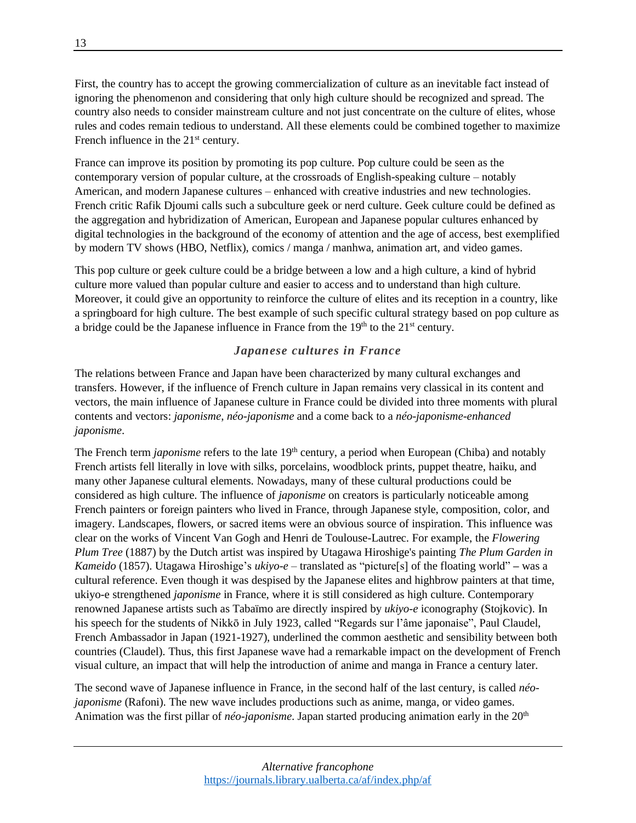First, the country has to accept the growing commercialization of culture as an inevitable fact instead of ignoring the phenomenon and considering that only high culture should be recognized and spread. The country also needs to consider mainstream culture and not just concentrate on the culture of elites, whose rules and codes remain tedious to understand. All these elements could be combined together to maximize French influence in the 21<sup>st</sup> century.

France can improve its position by promoting its pop culture. Pop culture could be seen as the contemporary version of popular culture, at the crossroads of English-speaking culture – notably American, and modern Japanese cultures – enhanced with creative industries and new technologies. French critic Rafik Djoumi calls such a subculture geek or nerd culture. Geek culture could be defined as the aggregation and hybridization of American, European and Japanese popular cultures enhanced by digital technologies in the background of the economy of attention and the age of access, best exemplified by modern TV shows (HBO, Netflix), comics / manga / manhwa, animation art, and video games.

This pop culture or geek culture could be a bridge between a low and a high culture, a kind of hybrid culture more valued than popular culture and easier to access and to understand than high culture. Moreover, it could give an opportunity to reinforce the culture of elites and its reception in a country, like a springboard for high culture. The best example of such specific cultural strategy based on pop culture as a bridge could be the Japanese influence in France from the  $19<sup>th</sup>$  to the  $21<sup>st</sup>$  century.

#### *Japanese cultures in France*

The relations between France and Japan have been characterized by many cultural exchanges and transfers. However, if the influence of French culture in Japan remains very classical in its content and vectors, the main influence of Japanese culture in France could be divided into three moments with plural contents and vectors: *japonisme*, *néo-japonisme* and a come back to a *néo-japonisme-enhanced japonisme*.

The French term *japonisme* refers to the late 19<sup>th</sup> century, a period when European (Chiba) and notably French artists fell literally in love with silks, porcelains, woodblock prints, puppet theatre, haiku, and many other Japanese cultural elements. Nowadays, many of these cultural productions could be considered as high culture. The influence of *japonisme* on creators is particularly noticeable among French painters or foreign painters who lived in France, through Japanese style, composition, color, and imagery. Landscapes, flowers, or sacred items were an obvious source of inspiration. This influence was clear on the works of Vincent Van Gogh and Henri de Toulouse-Lautrec. For example, the *Flowering Plum Tree* (1887) by the Dutch artist was inspired by Utagawa Hiroshige's painting *The Plum Garden in Kameido* (1857). Utagawa Hiroshige's *ukiyo-e* – translated as "picture[s] of the floating world" **–** was a cultural reference. Even though it was despised by the Japanese elites and highbrow painters at that time, ukiyo-e strengthened *japonisme* in France, where it is still considered as high culture. Contemporary renowned Japanese artists such as Tabaïmo are directly inspired by *ukiyo-e* iconography (Stojkovic). In his speech for the students of Nikkō in July 1923, called "Regards sur l'âme japonaise", Paul Claudel, French Ambassador in Japan (1921-1927), underlined the common aesthetic and sensibility between both countries (Claudel). Thus, this first Japanese wave had a remarkable impact on the development of French visual culture, an impact that will help the introduction of anime and manga in France a century later.

The second wave of Japanese influence in France, in the second half of the last century, is called *néojaponisme* (Rafoni). The new wave includes productions such as anime, manga, or video games. Animation was the first pillar of *néo-japonisme*. Japan started producing animation early in the 20<sup>th</sup>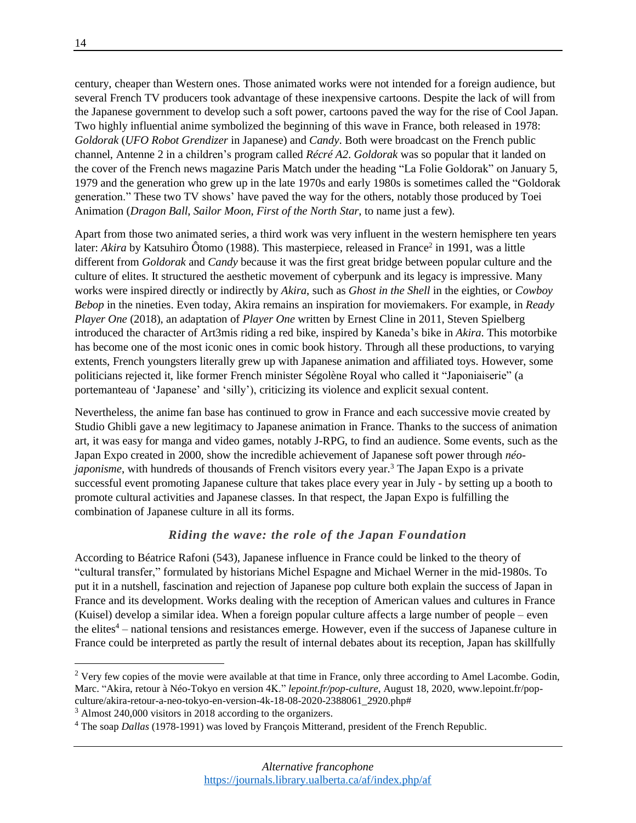century, cheaper than Western ones. Those animated works were not intended for a foreign audience, but several French TV producers took advantage of these inexpensive cartoons. Despite the lack of will from the Japanese government to develop such a soft power, cartoons paved the way for the rise of Cool Japan. Two highly influential anime symbolized the beginning of this wave in France, both released in 1978: *Goldorak* (*UFO Robot Grendizer* in Japanese) and *Candy*. Both were broadcast on the French public channel, Antenne 2 in a children's program called *Récré A2*. *Goldorak* was so popular that it landed on the cover of the French news magazine Paris Match under the heading "La Folie Goldorak" on January 5, 1979 and the generation who grew up in the late 1970s and early 1980s is sometimes called the "Goldorak generation." These two TV shows' have paved the way for the others, notably those produced by Toei Animation (*Dragon Ball*, *Sailor Moon*, *First of the North Star*, to name just a few).

Apart from those two animated series, a third work was very influent in the western hemisphere ten years later: *Akira* by Katsuhiro Ôtomo (1988). This masterpiece, released in France<sup>2</sup> in 1991, was a little different from *Goldorak* and *Candy* because it was the first great bridge between popular culture and the culture of elites. It structured the aesthetic movement of cyberpunk and its legacy is impressive. Many works were inspired directly or indirectly by *Akira*, such as *Ghost in the Shell* in the eighties, or *Cowboy Bebop* in the nineties. Even today, Akira remains an inspiration for moviemakers. For example, in *Ready Player One* (2018), an adaptation of *Player One* written by Ernest Cline in 2011, Steven Spielberg introduced the character of Art3mis riding a red bike, inspired by Kaneda's bike in *Akira*. This motorbike has become one of the most iconic ones in comic book history. Through all these productions, to varying extents, French youngsters literally grew up with Japanese animation and affiliated toys. However, some politicians rejected it, like former French minister Ségolène Royal who called it "Japoniaiserie" (a portemanteau of 'Japanese' and 'silly'), criticizing its violence and explicit sexual content.

Nevertheless, the anime fan base has continued to grow in France and each successive movie created by Studio Ghibli gave a new legitimacy to Japanese animation in France. Thanks to the success of animation art, it was easy for manga and video games, notably J-RPG, to find an audience. Some events, such as the Japan Expo created in 2000, show the incredible achievement of Japanese soft power through *néojaponisme*, with hundreds of thousands of French visitors every year.<sup>3</sup> The Japan Expo is a private successful event promoting Japanese culture that takes place every year in July - by setting up a booth to promote cultural activities and Japanese classes. In that respect, the Japan Expo is fulfilling the combination of Japanese culture in all its forms.

#### *Riding the wave: the role of the Japan Foundation*

According to Béatrice Rafoni (543), Japanese influence in France could be linked to the theory of "cultural transfer," formulated by historians Michel Espagne and Michael Werner in the mid-1980s. To put it in a nutshell, fascination and rejection of Japanese pop culture both explain the success of Japan in France and its development. Works dealing with the reception of American values and cultures in France (Kuisel) develop a similar idea. When a foreign popular culture affects a large number of people – even the elites<sup>4</sup> – national tensions and resistances emerge. However, even if the success of Japanese culture in France could be interpreted as partly the result of internal debates about its reception, Japan has skillfully

 $\overline{a}$ 

<sup>&</sup>lt;sup>2</sup> Very few copies of the movie were available at that time in France, only three according to Amel Lacombe. Godin, Marc. "Akira, retour à Néo-Tokyo en version 4K." *lepoint.fr/pop-culture*, August 18, 2020, [www.lepoint.fr/pop](https://www.lepoint.fr/pop-culture/akira-retour-a-neo-tokyo-en-version-4k-18-08-2020-2388061_2920.php)[culture/akira-retour-a-neo-tokyo-en-version-4k-18-08-2020-2388061\\_2920.php#](https://www.lepoint.fr/pop-culture/akira-retour-a-neo-tokyo-en-version-4k-18-08-2020-2388061_2920.php)

<sup>3</sup> Almost 240,000 visitors in 2018 according to the organizers.

<sup>4</sup> The soap *Dallas* (1978-1991) was loved by François Mitterand, president of the French Republic.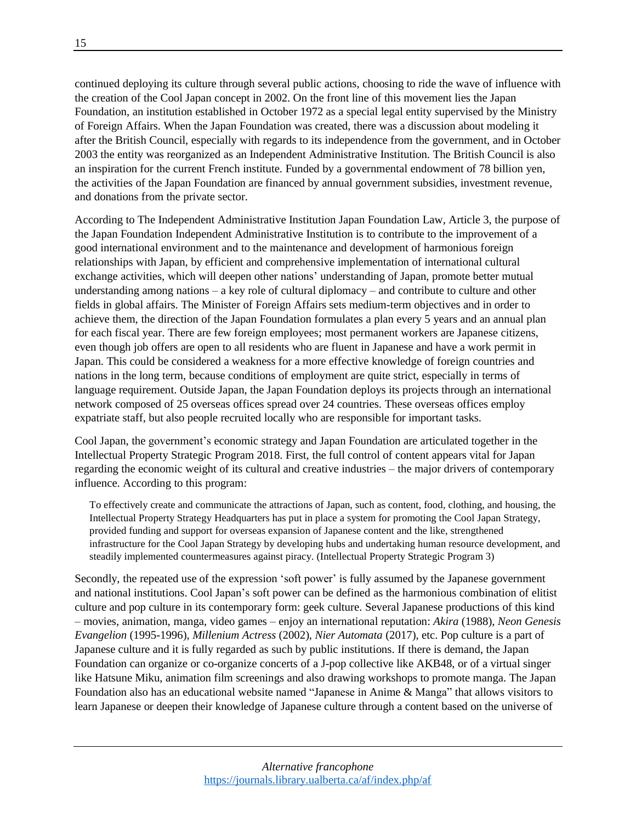continued deploying its culture through several public actions, choosing to ride the wave of influence with the creation of the Cool Japan concept in 2002. On the front line of this movement lies the Japan Foundation, an institution established in October 1972 as a special legal entity supervised by the Ministry of Foreign Affairs. When the Japan Foundation was created, there was a discussion about modeling it after the British Council, especially with regards to its independence from the government, and in October 2003 the entity was reorganized as an Independent Administrative Institution. The British Council is also an inspiration for the current French institute. Funded by a governmental endowment of 78 billion yen, the activities of the Japan Foundation are financed by annual government subsidies, investment revenue, and donations from the private sector.

According to The Independent Administrative Institution Japan Foundation Law, Article 3, the purpose of the Japan Foundation Independent Administrative Institution is to contribute to the improvement of a good international environment and to the maintenance and development of harmonious foreign relationships with Japan, by efficient and comprehensive implementation of international cultural exchange activities, which will deepen other nations' understanding of Japan, promote better mutual understanding among nations – a key role of cultural diplomacy – and contribute to culture and other fields in global affairs. The Minister of Foreign Affairs sets medium-term objectives and in order to achieve them, the direction of the Japan Foundation formulates a plan every 5 years and an annual plan for each fiscal year. There are few foreign employees; most permanent workers are Japanese citizens, even though job offers are open to all residents who are fluent in Japanese and have a work permit in Japan. This could be considered a weakness for a more effective knowledge of foreign countries and nations in the long term, because conditions of employment are quite strict, especially in terms of language requirement. Outside Japan, the Japan Foundation deploys its projects through an international network composed of 25 overseas offices spread over 24 countries. These overseas offices employ expatriate staff, but also people recruited locally who are responsible for important tasks.

Cool Japan, the government's economic strategy and Japan Foundation are articulated together in the Intellectual Property Strategic Program 2018. First, the full control of content appears vital for Japan regarding the economic weight of its cultural and creative industries – the major drivers of contemporary influence. According to this program:

To effectively create and communicate the attractions of Japan, such as content, food, clothing, and housing, the Intellectual Property Strategy Headquarters has put in place a system for promoting the Cool Japan Strategy, provided funding and support for overseas expansion of Japanese content and the like, strengthened infrastructure for the Cool Japan Strategy by developing hubs and undertaking human resource development, and steadily implemented countermeasures against piracy. (Intellectual Property Strategic Program 3)

Secondly, the repeated use of the expression 'soft power' is fully assumed by the Japanese government and national institutions. Cool Japan's soft power can be defined as the harmonious combination of elitist culture and pop culture in its contemporary form: geek culture. Several Japanese productions of this kind – movies, animation, manga, video games – enjoy an international reputation: *Akira* (1988), *Neon Genesis Evangelion* (1995-1996), *Millenium Actress* (2002), *Nier Automata* (2017), etc. Pop culture is a part of Japanese culture and it is fully regarded as such by public institutions. If there is demand, the Japan Foundation can organize or co-organize concerts of a J-pop collective like AKB48, or of a virtual singer like Hatsune Miku, animation film screenings and also drawing workshops to promote manga. The Japan Foundation also has an educational website named "Japanese in Anime & Manga" that allows visitors to learn Japanese or deepen their knowledge of Japanese culture through a content based on the universe of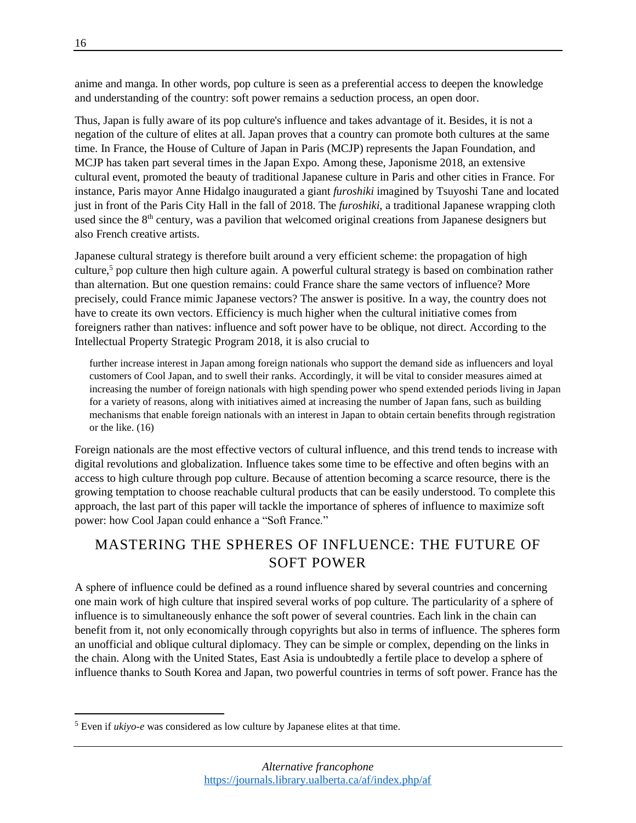anime and manga. In other words, pop culture is seen as a preferential access to deepen the knowledge and understanding of the country: soft power remains a seduction process, an open door.

Thus, Japan is fully aware of its pop culture's influence and takes advantage of it. Besides, it is not a negation of the culture of elites at all. Japan proves that a country can promote both cultures at the same time. In France, the House of Culture of Japan in Paris (MCJP) represents the Japan Foundation, and MCJP has taken part several times in the Japan Expo. Among these, Japonisme 2018, an extensive cultural event, promoted the beauty of traditional Japanese culture in Paris and other cities in France. For instance, Paris mayor Anne Hidalgo inaugurated a giant *furoshiki* imagined by Tsuyoshi Tane and located just in front of the Paris City Hall in the fall of 2018. The *furoshiki*, a traditional Japanese wrapping cloth used since the 8<sup>th</sup> century, was a pavilion that welcomed original creations from Japanese designers but also French creative artists.

Japanese cultural strategy is therefore built around a very efficient scheme: the propagation of high culture,<sup>5</sup> pop culture then high culture again. A powerful cultural strategy is based on combination rather than alternation. But one question remains: could France share the same vectors of influence? More precisely, could France mimic Japanese vectors? The answer is positive. In a way, the country does not have to create its own vectors. Efficiency is much higher when the cultural initiative comes from foreigners rather than natives: influence and soft power have to be oblique, not direct. According to the Intellectual Property Strategic Program 2018, it is also crucial to

further increase interest in Japan among foreign nationals who support the demand side as influencers and loyal customers of Cool Japan, and to swell their ranks. Accordingly, it will be vital to consider measures aimed at increasing the number of foreign nationals with high spending power who spend extended periods living in Japan for a variety of reasons, along with initiatives aimed at increasing the number of Japan fans, such as building mechanisms that enable foreign nationals with an interest in Japan to obtain certain benefits through registration or the like. (16)

Foreign nationals are the most effective vectors of cultural influence, and this trend tends to increase with digital revolutions and globalization. Influence takes some time to be effective and often begins with an access to high culture through pop culture. Because of attention becoming a scarce resource, there is the growing temptation to choose reachable cultural products that can be easily understood. To complete this approach, the last part of this paper will tackle the importance of spheres of influence to maximize soft power: how Cool Japan could enhance a "Soft France."

## MASTERING THE SPHERES OF INFLUENCE: THE FUTURE OF SOFT POWER

A sphere of influence could be defined as a round influence shared by several countries and concerning one main work of high culture that inspired several works of pop culture. The particularity of a sphere of influence is to simultaneously enhance the soft power of several countries. Each link in the chain can benefit from it, not only economically through copyrights but also in terms of influence. The spheres form an unofficial and oblique cultural diplomacy. They can be simple or complex, depending on the links in the chain. Along with the United States, East Asia is undoubtedly a fertile place to develop a sphere of influence thanks to South Korea and Japan, two powerful countries in terms of soft power. France has the

 $\overline{a}$ 

<sup>5</sup> Even if *ukiyo-e* was considered as low culture by Japanese elites at that time.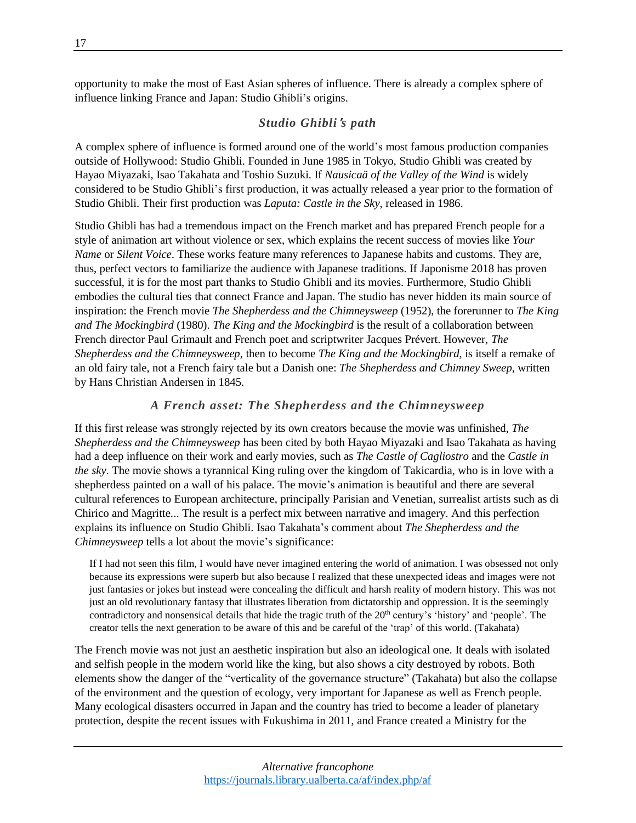opportunity to make the most of East Asian spheres of influence. There is already a complex sphere of influence linking France and Japan: Studio Ghibli's origins.

#### *Studio Ghibli*'*s path*

A complex sphere of influence is formed around one of the world's most famous production companies outside of Hollywood: Studio Ghibli. Founded in June 1985 in Tokyo, Studio Ghibli was created by Hayao Miyazaki, Isao Takahata and Toshio Suzuki. If *Nausicaä of the Valley of the Wind* is widely considered to be Studio Ghibli's first production, it was actually released a year prior to the formation of Studio Ghibli. Their first production was *Laputa: Castle in the Sky*, released in 1986.

Studio Ghibli has had a tremendous impact on the French market and has prepared French people for a style of animation art without violence or sex, which explains the recent success of movies like *Your Name* or *Silent Voice*. These works feature many references to Japanese habits and customs. They are, thus, perfect vectors to familiarize the audience with Japanese traditions. If Japonisme 2018 has proven successful, it is for the most part thanks to Studio Ghibli and its movies. Furthermore, Studio Ghibli embodies the cultural ties that connect France and Japan. The studio has never hidden its main source of inspiration: the French movie *The Shepherdess and the Chimneysweep* (1952), the forerunner to *The King and The Mockingbird* (1980). *The King and the Mockingbird* is the result of a collaboration between French director Paul Grimault and French poet and scriptwriter Jacques Prévert. However, *The Shepherdess and the Chimneysweep*, then to become *The King and the Mockingbird*, is itself a remake of an old fairy tale, not a French fairy tale but a Danish one: *The Shepherdess and Chimney Sweep*, written by Hans Christian Andersen in 1845.

#### *A French asset: The Shepherdess and the Chimneysweep*

If this first release was strongly rejected by its own creators because the movie was unfinished, *The Shepherdess and the Chimneysweep* has been cited by both Hayao Miyazaki and Isao Takahata as having had a deep influence on their work and early movies, such as *The Castle of Cagliostro* and the *Castle in the sky*. The movie shows a tyrannical King ruling over the kingdom of Takicardia, who is in love with a shepherdess painted on a wall of his palace. The movie's animation is beautiful and there are several cultural references to European architecture, principally Parisian and Venetian, surrealist artists such as di Chirico and Magritte... The result is a perfect mix between narrative and imagery. And this perfection explains its influence on Studio Ghibli. Isao Takahata's comment about *The Shepherdess and the Chimneysweep* tells a lot about the movie's significance:

If I had not seen this film, I would have never imagined entering the world of animation. I was obsessed not only because its expressions were superb but also because I realized that these unexpected ideas and images were not just fantasies or jokes but instead were concealing the difficult and harsh reality of modern history. This was not just an old revolutionary fantasy that illustrates liberation from dictatorship and oppression. It is the seemingly contradictory and nonsensical details that hide the tragic truth of the 20<sup>th</sup> century's 'history' and 'people'. The creator tells the next generation to be aware of this and be careful of the 'trap' of this world. (Takahata)

The French movie was not just an aesthetic inspiration but also an ideological one. It deals with isolated and selfish people in the modern world like the king, but also shows a city destroyed by robots. Both elements show the danger of the "verticality of the governance structure" (Takahata) but also the collapse of the environment and the question of ecology, very important for Japanese as well as French people. Many ecological disasters occurred in Japan and the country has tried to become a leader of planetary protection, despite the recent issues with Fukushima in 2011, and France created a Ministry for the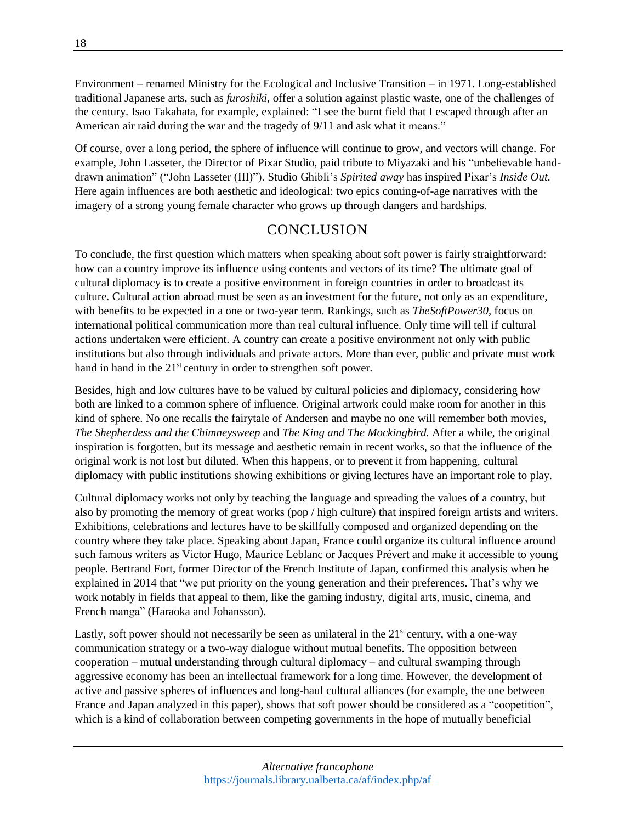Environment – renamed Ministry for the Ecological and Inclusive Transition – in 1971. Long-established traditional Japanese arts, such as *furoshiki*, offer a solution against plastic waste, one of the challenges of the century. Isao Takahata, for example, explained: "I see the burnt field that I escaped through after an American air raid during the war and the tragedy of 9/11 and ask what it means."

Of course, over a long period, the sphere of influence will continue to grow, and vectors will change. For example, John Lasseter, the Director of Pixar Studio, paid tribute to Miyazaki and his "unbelievable handdrawn animation" ("John Lasseter (III)"). Studio Ghibli's *Spirited away* has inspired Pixar's *Inside Out*. Here again influences are both aesthetic and ideological: two epics coming-of-age narratives with the imagery of a strong young female character who grows up through dangers and hardships.

### **CONCLUSION**

To conclude, the first question which matters when speaking about soft power is fairly straightforward: how can a country improve its influence using contents and vectors of its time? The ultimate goal of cultural diplomacy is to create a positive environment in foreign countries in order to broadcast its culture. Cultural action abroad must be seen as an investment for the future, not only as an expenditure, with benefits to be expected in a one or two-year term. Rankings, such as *TheSoftPower30*, focus on international political communication more than real cultural influence. Only time will tell if cultural actions undertaken were efficient. A country can create a positive environment not only with public institutions but also through individuals and private actors. More than ever, public and private must work hand in hand in the 21<sup>st</sup> century in order to strengthen soft power.

Besides, high and low cultures have to be valued by cultural policies and diplomacy, considering how both are linked to a common sphere of influence. Original artwork could make room for another in this kind of sphere. No one recalls the fairytale of Andersen and maybe no one will remember both movies, *The Shepherdess and the Chimneysweep* and *The King and The Mockingbird.* After a while, the original inspiration is forgotten, but its message and aesthetic remain in recent works, so that the influence of the original work is not lost but diluted. When this happens, or to prevent it from happening, cultural diplomacy with public institutions showing exhibitions or giving lectures have an important role to play.

Cultural diplomacy works not only by teaching the language and spreading the values of a country, but also by promoting the memory of great works (pop / high culture) that inspired foreign artists and writers. Exhibitions, celebrations and lectures have to be skillfully composed and organized depending on the country where they take place. Speaking about Japan, France could organize its cultural influence around such famous writers as Victor Hugo, Maurice Leblanc or Jacques Prévert and make it accessible to young people. Bertrand Fort, former Director of the French Institute of Japan, confirmed this analysis when he explained in 2014 that "we put priority on the young generation and their preferences. That's why we work notably in fields that appeal to them, like the gaming industry, digital arts, music, cinema, and French manga" (Haraoka and Johansson).

Lastly, soft power should not necessarily be seen as unilateral in the  $21<sup>st</sup>$  century, with a one-way communication strategy or a two-way dialogue without mutual benefits. The opposition between cooperation – mutual understanding through cultural diplomacy – and cultural swamping through aggressive economy has been an intellectual framework for a long time. However, the development of active and passive spheres of influences and long-haul cultural alliances (for example, the one between France and Japan analyzed in this paper), shows that soft power should be considered as a "coopetition", which is a kind of collaboration between competing governments in the hope of mutually beneficial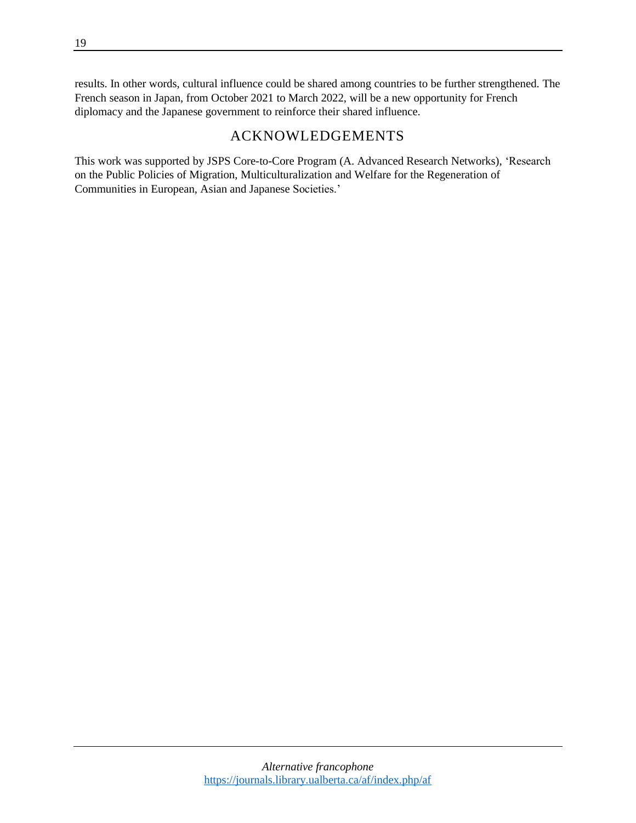results. In other words, cultural influence could be shared among countries to be further strengthened. The French season in Japan, from October 2021 to March 2022, will be a new opportunity for French diplomacy and the Japanese government to reinforce their shared influence.

## ACKNOWLEDGEMENTS

This work was supported by JSPS Core-to-Core Program (A. Advanced Research Networks), 'Research on the Public Policies of Migration, Multiculturalization and Welfare for the Regeneration of Communities in European, Asian and Japanese Societies.'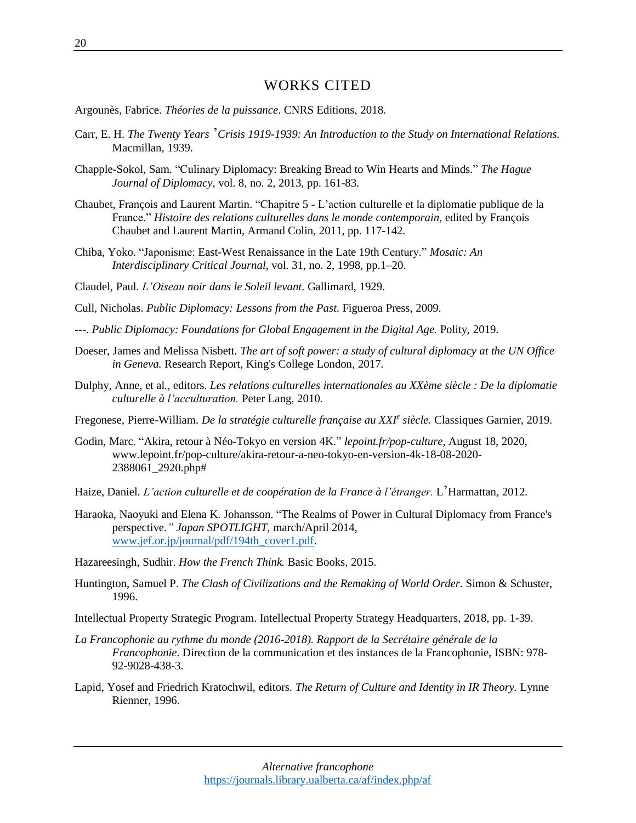#### WORKS CITED

Argounès, Fabrice. *Théories de la puissance*. CNRS Editions, 2018.

- Carr, E. H. *The Twenty Years* '*Crisis 1919-1939: An Introduction to the Study on International Relations.* Macmillan, 1939.
- Chapple-Sokol, Sam. "Culinary Diplomacy: Breaking Bread to Win Hearts and Minds*.*" *The Hague Journal of Diplomacy*, vol. 8, no. 2, 2013, pp. 161-83.
- Chaubet, François and Laurent Martin. "Chapitre 5 L'action culturelle et la diplomatie publique de la France." *Histoire des relations culturelles dans le monde contemporain*, edited by François Chaubet and Laurent Martin, Armand Colin, 2011, pp. 117-142.
- Chiba, Yoko. "Japonisme: East-West Renaissance in the Late 19th Century." *Mosaic: An Interdisciplinary Critical Journal*, vol. 31, no. 2, 1998, pp.1–20.
- Claudel, Paul. *L'Oiseau noir dans le Soleil levant*. Gallimard, 1929.
- Cull, Nicholas. *Public Diplomacy: Lessons from the Past*. Figueroa Press, 2009.
- ---. *Public Diplomacy: Foundations for Global Engagement in the Digital Age.* Polity, 2019.
- Doeser, James and Melissa Nisbett. *The art of soft power: a study of cultural diplomacy at the UN Office in Geneva.* Research Report, King's College London, 2017.
- Dulphy, Anne, et al*.*, editors. *Les relations culturelles internationales au XXème siècle : De la diplomatie culturelle à l'acculturation.* Peter Lang, 2010.
- Fregonese, Pierre-William. *De la stratégie culturelle française au XXI<sup>e</sup> siècle.* Classiques Garnier, 2019.
- Godin, Marc. "Akira, retour à Néo-Tokyo en version 4K." *lepoint.fr/pop-culture*, August 18, 2020, [www.lepoint.fr/pop-culture/akira-retour-a-neo-tokyo-en-version-4k-18-08-2020-](https://www.lepoint.fr/pop-culture/akira-retour-a-neo-tokyo-en-version-4k-18-08-2020-2388061_2920.php) [2388061\\_2920.php#](https://www.lepoint.fr/pop-culture/akira-retour-a-neo-tokyo-en-version-4k-18-08-2020-2388061_2920.php)
- Haize, Daniel. *L'action culturelle et de coopération de la France à l'étranger.* L'Harmattan, 2012.
- Haraoka, Naoyuki and Elena K. Johansson. "The Realms of Power in Cultural Diplomacy from France's perspective.*" Japan SPOTLIGHT,* march/April 2014, [www.jef.or.jp/journal/pdf/194th\\_cover1.pdf.](http://www.jef.or.jp/journal/pdf/194th_cover1.pdf)

Hazareesingh, Sudhir. *How the French Think.* Basic Books, 2015.

Huntington, Samuel P. *The Clash of Civilizations and the Remaking of World Order.* Simon & Schuster, 1996.

Intellectual Property Strategic Program. Intellectual Property Strategy Headquarters, 2018, pp. 1-39.

- *La Francophonie au rythme du monde (2016-2018). Rapport de la Secrétaire générale de la Francophonie*. Direction de la communication et des instances de la Francophonie, ISBN: 978- 92-9028-438-3.
- Lapid, Yosef and Friedrich Kratochwil, editors. *The Return of Culture and Identity in IR Theory.* Lynne Rienner, 1996.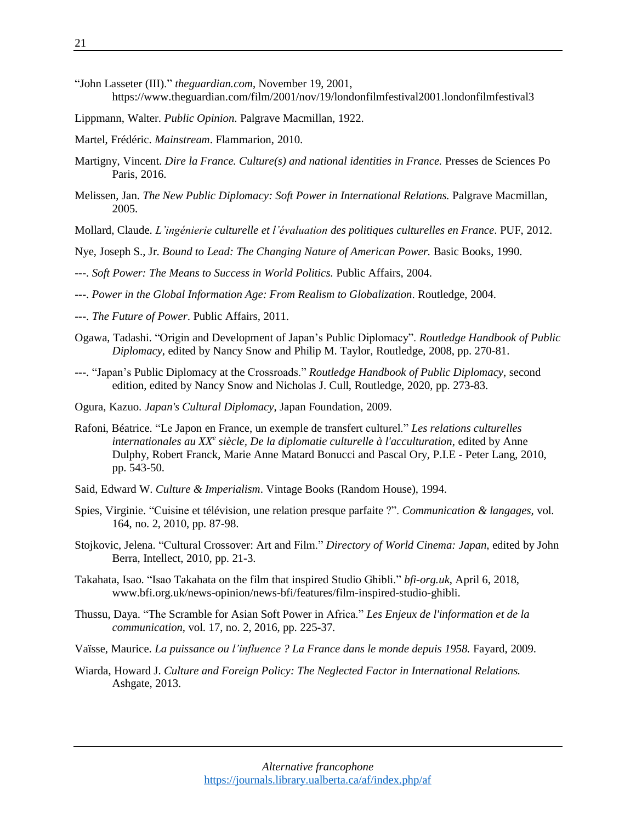- "John Lasseter (III)." *theguardian.com*, November 19, 2001, https://www.theguardian.com/film/2001/nov/19/londonfilmfestival2001.londonfilmfestival3
- Lippmann, Walter. *Public Opinion*. Palgrave Macmillan, 1922.
- Martel, Frédéric. *Mainstream*. Flammarion, 2010.
- Martigny, Vincent. *Dire la France. Culture(s) and national identities in France.* Presses de Sciences Po Paris, 2016.
- Melissen, Jan. *The New Public Diplomacy: Soft Power in International Relations.* Palgrave Macmillan, 2005.
- Mollard, Claude. *L'ingénierie culturelle et l'évaluation des politiques culturelles en France*. PUF, 2012.
- Nye, Joseph S., Jr. *Bound to Lead: The Changing Nature of American Power.* Basic Books, 1990.
- ---. *Soft Power: The Means to Success in World Politics.* Public Affairs, 2004.
- ---. *Power in the Global Information Age: From Realism to Globalization*. Routledge, 2004.
- ---. *The Future of Power*. Public Affairs, 2011.
- Ogawa, Tadashi. "Origin and Development of Japan's Public Diplomacy". *Routledge Handbook of Public Diplomacy*, edited by Nancy Snow and Philip M. Taylor, Routledge, 2008, pp. 270-81.
- ---. "Japan's Public Diplomacy at the Crossroads." *Routledge Handbook of Public Diplomacy*, second edition, edited by Nancy Snow and Nicholas J. Cull, Routledge, 2020, pp. 273-83.
- Ogura, Kazuo. *Japan's Cultural Diplomacy*, Japan Foundation, 2009.
- Rafoni, Béatrice. "Le Japon en France, un exemple de transfert culturel." *Les relations culturelles internationales au XX<sup>e</sup> siècle, De la diplomatie culturelle à l'acculturation*, edited by Anne Dulphy, Robert Franck, Marie Anne Matard Bonucci and Pascal Ory, P.I.E - Peter Lang, 2010, pp. 543-50.
- Said, Edward W. *Culture & Imperialism*. Vintage Books (Random House), 1994.
- Spies, Virginie. "Cuisine et télévision, une relation presque parfaite ?". *Communication & langages*, vol. 164, no. 2, 2010, pp. 87-98.
- Stojkovic, Jelena. "Cultural Crossover: Art and Film." *Directory of World Cinema: Japan*, edited by John Berra, Intellect, 2010, pp. 21-3.
- Takahata, Isao. "Isao Takahata on the film that inspired Studio Ghibli." *bfi-org.uk*, April 6, 2018, www.bfi.org.uk/news-opinion/news-bfi/features/film-inspired-studio-ghibli.
- Thussu, Daya. "The Scramble for Asian Soft Power in Africa." *Les Enjeux de l'information et de la communication*, vol. 17, no. 2, 2016, pp. 225-37.
- Vaïsse, Maurice. *La puissance ou l'influence ? La France dans le monde depuis 1958.* Fayard, 2009.
- Wiarda, Howard J. *Culture and Foreign Policy: The Neglected Factor in International Relations.* Ashgate, 2013.